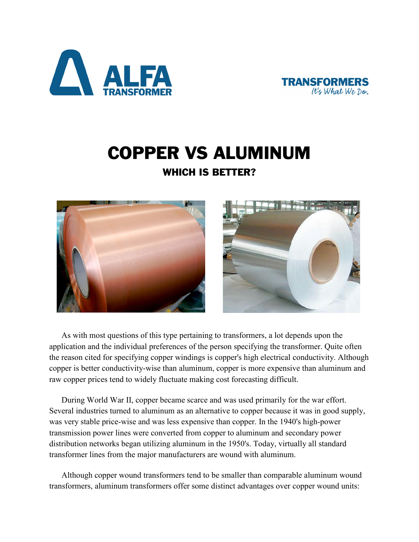



## COPPER VS ALUMINUM

## WHICH IS BETTER?



As with most questions of this type pertaining to transformers, a lot depends upon the application and the individual preferences of the person specifying the transformer. Quite often the reason cited for specifying copper windings is copper's high electrical conductivity. Although copper is better conductivity-wise than aluminum, copper is more expensive than aluminum and raw copper prices tend to widely fluctuate making cost forecasting difficult.

During World War II, copper became scarce and was used primarily for the war effort. Several industries turned to aluminum as an alternative to copper because it was in good supply, was very stable price-wise and was less expensive than copper. In the 1940's high-power transmission power lines were converted from copper to aluminum and secondary power distribution networks began utilizing aluminum in the 1950's. Today, virtually all standard transformer lines from the major manufacturers are wound with aluminum.

Although copper wound transformers tend to be smaller than comparable aluminum wound transformers, aluminum transformers offer some distinct advantages over copper wound units: